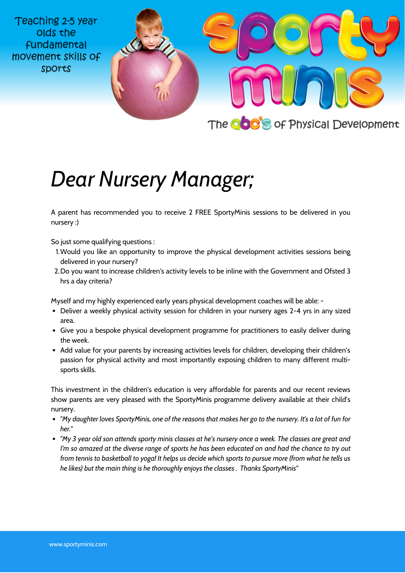Teaching 2-5 year olds the **fundamental** movement skills of **Sports** 



## *Dear Nursery Manager;*

A parent has recommended you to receive 2 FREE SportyMinis sessions to be delivered in you nursery :)

So just some qualifying questions :

- Would you like an opportunity to improve the physical development activities sessions being 1. delivered in your nursery?
- Do you want to increase children's activity levels to be inline with the Government and Ofsted 3 2. hrs a day criteria?

Myself and my highly experienced early years physical development coaches will be able: -

- Deliver a weekly physical activity session for children in your nursery ages 2-4 yrs in any sized area.
- Give you a bespoke physical development programme for practitioners to easily deliver during the week.
- Add value for your parents by increasing activities levels for children, developing their children's passion for physical activity and most importantly exposing children to many different multisports skills.

This investment in the children's education is very affordable for parents and our recent reviews show parents are very pleased with the SportyMinis programme delivery available at their child's nursery.

- "My daughter loves SportyMinis, one of the reasons that makes her go to the nursery. It's a lot of fun for *her."*
- "My 3 year old son attends sporty minis classes at he's nursery once a week. The classes are great and I'm so amazed at the diverse range of sports he has been educated on and had the chance to try out from tennis to basketball to yoga! It helps us decide which sports to pursue more (from what he tells us *he likes) but the main thing is he thoroughly enjoys the classes . Thanks SportyMinis"*